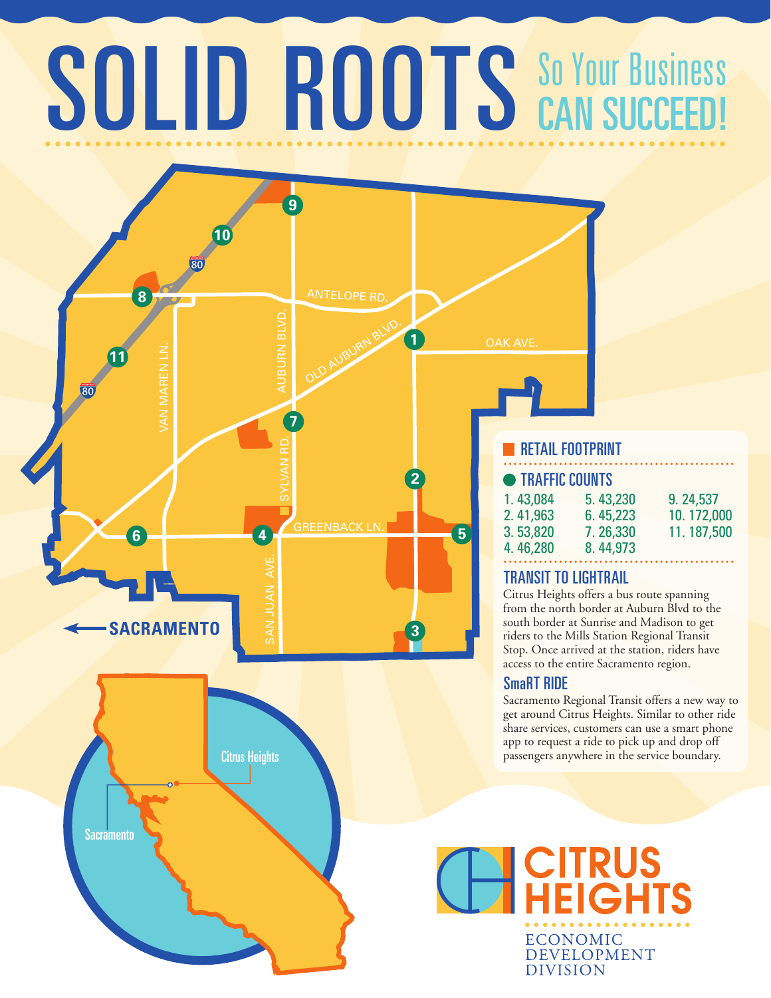# SOLID ROOTS SO YOUR BUSINESS CAN SUCCEED!